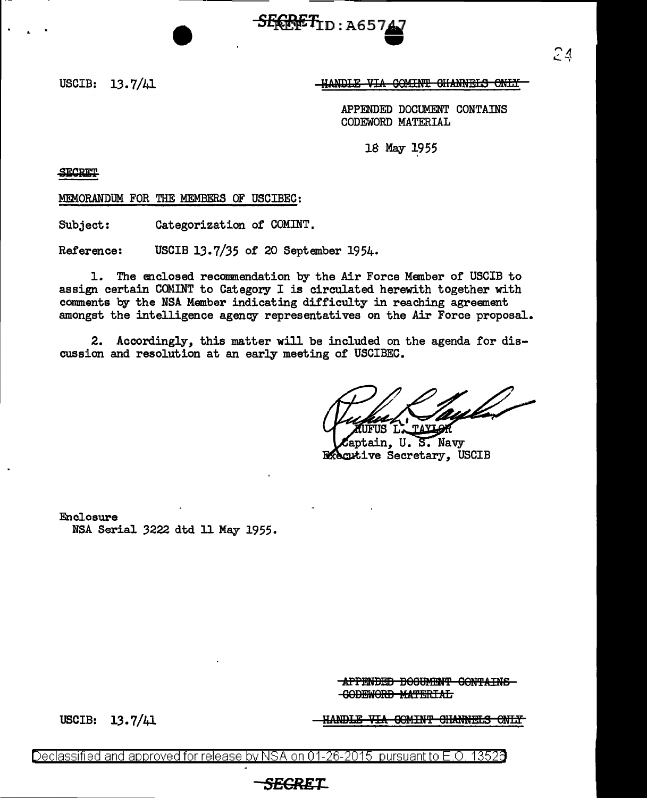$S_{\rm F600FT_{1D\,:\,A657$ -<br>47

USCIB: 13.7/41

## 1:1.NDIE VIA GOMINT GHANNELS ONLY

APPENDED DOCUMENT CONTAINS CODEWORD MATERIAL

18 May 1955

**SECRET** 

MEMORANDUM FOR THE MEMBERS OF USCIBEC:

Subject: Categorization of COMINT.

Reference: USCIB 13.7/35 of 20 September 1954.

1. The enclosed recommendation by the Air Force Member of USCIB to assign certain COMINT to Category I is circulated herewith together with comments by the NSA Member indicating difficulty in reaching agreement amongst the intelligence agency representatives on the Air Force proposal.

2. Accordingly, this matter will be included on the agenda for discussion and resolution at an early meeting of USCIBEC.

aptain, U. S. Navy **R**xecutive Secretary, USCIB

Enclosure NSA Serial 3222 dtd 11 May 1955.

> **APPENDED BOOUMENT CONTAINS** -GODEWORD MATERIAL

USCIB: 13.7/41

<del>IANDLE VIA COMINT CHANNELS ONLY</del>

<u>Declassified and approved for release by NSA on 01-26-2015  $\,$  pursuant to E.O. 13526</u>

## **SECRE'f-**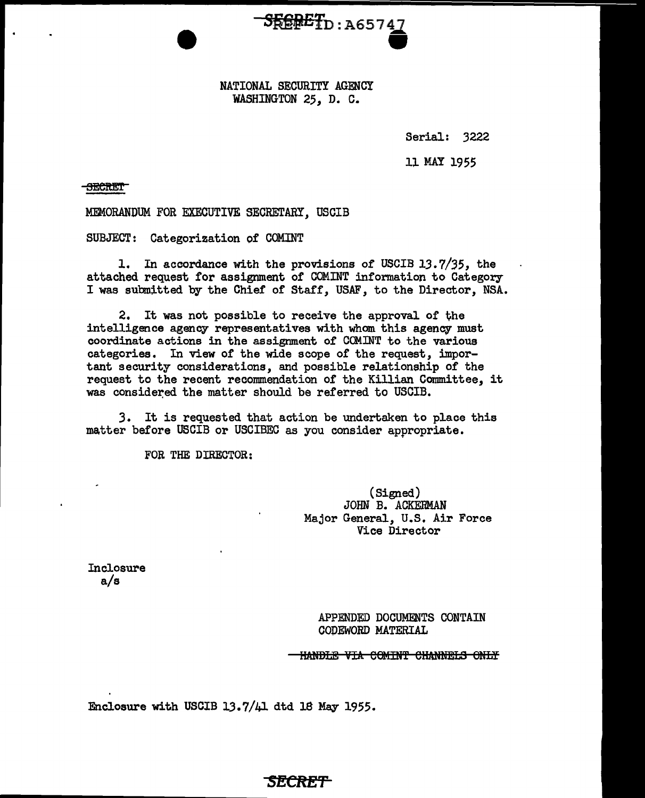NATIONAL SECURITY AGENCY WASHINGTON 25, D. C.

SfifilEfn : A65 7 Q •

Serial: 3222

ll MAY 1955

**-SECRET** 

MEMORANDUM FOR EXECUTIVE SECRETARY, USCIB

SUBJECT: Categorization of COMINT

l. In accordance with the provisions of USCIB 13.7/35, the attached request for assignment of COMINT information to Category- I was submitted by the Chief of Staff, USAF, to the Director, NSA.

2. It was not possible to receive the approval of the intelligence agency representatives with whom this agency must coordinate actions in the assignment 0£ COM.INT to the various categories. In view of the wide scope of the request, important security considerations, and possible relationship of the request to the recent recommendation of the Killian Committee, it was considered the matter should be referred to USCIB.

3. It is requested that action be undertaken to place this matter before USCIB or USCIBEC as you consider appropriate.

FOR THE DIRECTOR:

(Signed) JOHN B. ACKERMAN Major General, U.S. Air Force Vice Director

**Inclosure** a/s

> APPENDED DOCUMENTS CONTAIN COPEWORD MATERIAL

**HANDLE VIA COMINT CHANNELS ONLY** 

Enclosure with USCIB 13.7/41 dtd 18 May 1955.

## **SECRET**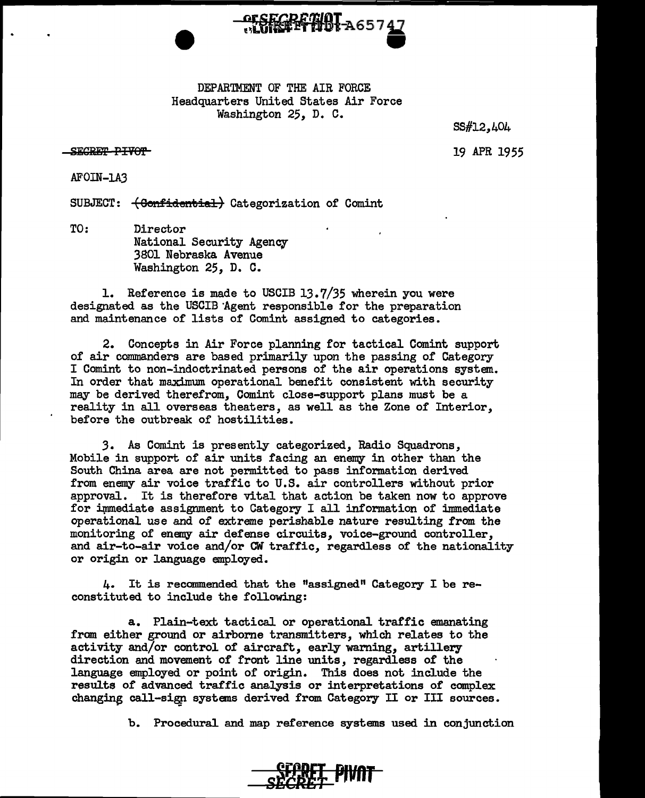

DEPARTMENT OF THE AIR FORCE Headquarters United States Air Force Washington 25, D. C.

SS#l2,404

SECRET PIVOT

19 APR 1955

AFOIN-1A3

SUBJECT:  $\left\{\text{Confidential}\right\}$  Categorization of Comint

TO: Director National Security Agency 3801 Nebraska Avenue Washington 25, D. C.

1. Reference is made to USCIB 13.7/35 wherein you were designated as the USCIB "Agent responsible for the preparation and maintenance of lists of Comint assigned to categories.

2. Concepts in Air Force planning for tactical Comint support of air commanders are based primarily upon the passing of Category I Comint to non-indoctrinated persons of the air operations system. In order that maximum operational benefit consistent with security may be derived therefrom, Comint close-support plans must be a reality in all overseas theaters, as well as the Zone of Interior, before the outbreak of hostilities.

*3.* As Comint is presently categorized, Radio Squadrons, Mobile in support of air units facing an enemy in other than the South China area are not permitted to pass information derived from enemy air voice traffic to U.S. air controllers without prior approval. It is therefore vital that action be taken now to approve for immediate assignment to Category I all information of immediate operational use and of extreme perishable nature resulting from the monitoring of enemy air defense circuits, voice-ground controller, and air-to-air voice and/or CW traffic, regardless of the nationality or origin or language employed.

4. It is recommended that the "assigned" Category I be reconstituted to include the following:

a. Plain-text tactical or operational traffic emanating from either ground or airborne transmitters, which relates to the activity and/or control of aircraft, early warning, artillery direction and movement of front line units, regardless of the language employed or point of origin. This does not include the results of advanced traffic analysis or interpretations of complex changing call-sigp systems derived from Category II or III sources.

b. Procedural and map reference systems used in conjunction